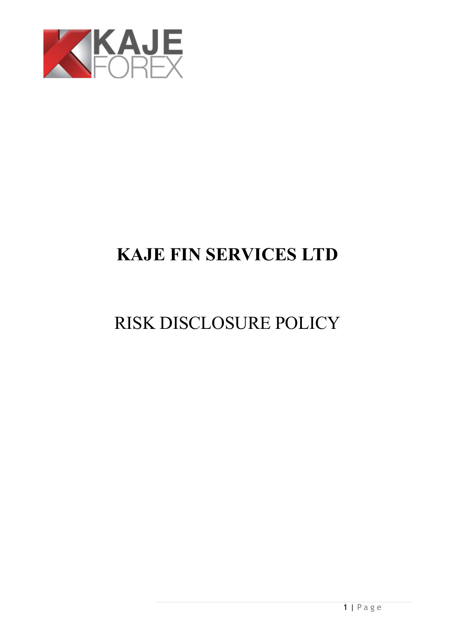

# **KAJE FIN SERVICES LTD**

# RISK DISCLOSURE POLICY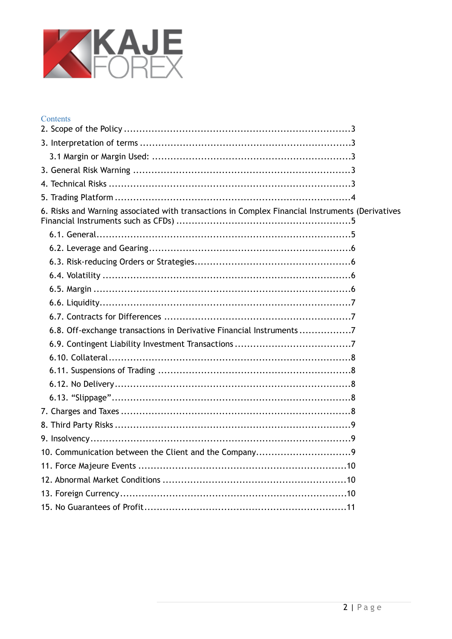

# Contents

| 6. Risks and Warning associated with transactions in Complex Financial Instruments (Derivatives |  |
|-------------------------------------------------------------------------------------------------|--|
|                                                                                                 |  |
|                                                                                                 |  |
|                                                                                                 |  |
|                                                                                                 |  |
|                                                                                                 |  |
|                                                                                                 |  |
|                                                                                                 |  |
| 6.8. Off-exchange transactions in Derivative Financial Instruments7                             |  |
|                                                                                                 |  |
|                                                                                                 |  |
|                                                                                                 |  |
|                                                                                                 |  |
|                                                                                                 |  |
|                                                                                                 |  |
|                                                                                                 |  |
|                                                                                                 |  |
|                                                                                                 |  |
|                                                                                                 |  |
|                                                                                                 |  |
|                                                                                                 |  |
|                                                                                                 |  |
|                                                                                                 |  |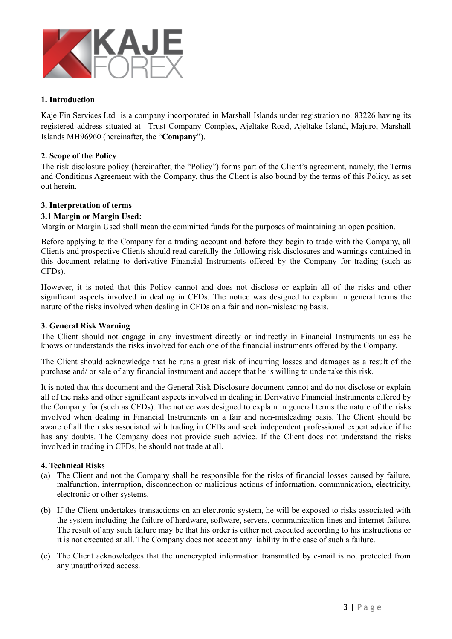

# **1. Introduction**

Kaje Fin Services Ltd is a company incorporated in Marshall Islands under registration no. 83226 having its registered address situated at Trust Company Complex, Ajeltake Road, Ajeltake Island, Majuro, Marshall Islands MH96960 (hereinafter, the "**Company**").

### <span id="page-2-0"></span>**2. Scope of the Policy**

The risk disclosure policy (hereinafter, the "Policy") forms part of the Client's agreement, namely, the Terms and Conditions Agreement with the Company, thus the Client is also bound by the terms of this Policy, as set out herein.

# <span id="page-2-1"></span>**3. Interpretation of terms**

# <span id="page-2-2"></span>**3.1 Margin or Margin Used:**

Margin or Margin Used shall mean the committed funds for the purposes of maintaining an open position.

Before applying to the Company for a trading account and before they begin to trade with the Company, all Clients and prospective Clients should read carefully the following risk disclosures and warnings contained in this document relating to derivative Financial Instruments offered by the Company for trading (such as CFDs).

However, it is noted that this Policy cannot and does not disclose or explain all of the risks and other significant aspects involved in dealing in CFDs. The notice was designed to explain in general terms the nature of the risks involved when dealing in CFDs on a fair and non-misleading basis.

#### <span id="page-2-3"></span>**3. General Risk Warning**

The Client should not engage in any investment directly or indirectly in Financial Instruments unless he knows or understands the risks involved for each one of the financial instruments offered by the Company.

The Client should acknowledge that he runs a great risk of incurring losses and damages as a result of the purchase and/ or sale of any financial instrument and accept that he is willing to undertake this risk.

It is noted that this document and the General Risk Disclosure document cannot and do not disclose or explain all of the risks and other significant aspects involved in dealing in Derivative Financial Instruments offered by the Company for (such as CFDs). The notice was designed to explain in general terms the nature of the risks involved when dealing in Financial Instruments on a fair and non-misleading basis. The Client should be aware of all the risks associated with trading in CFDs and seek independent professional expert advice if he has any doubts. The Company does not provide such advice. If the Client does not understand the risks involved in trading in CFDs, he should not trade at all.

#### <span id="page-2-4"></span>**4. Technical Risks**

- (a) The Client and not the Company shall be responsible for the risks of financial losses caused by failure, malfunction, interruption, disconnection or malicious actions of information, communication, electricity, electronic or other systems.
- (b) If the Client undertakes transactions on an electronic system, he will be exposed to risks associated with the system including the failure of hardware, software, servers, communication lines and internet failure. The result of any such failure may be that his order is either not executed according to his instructions or it is not executed at all. The Company does not accept any liability in the case of such a failure.
- (c) The Client acknowledges that the unencrypted information transmitted by e-mail is not protected from any unauthorized access.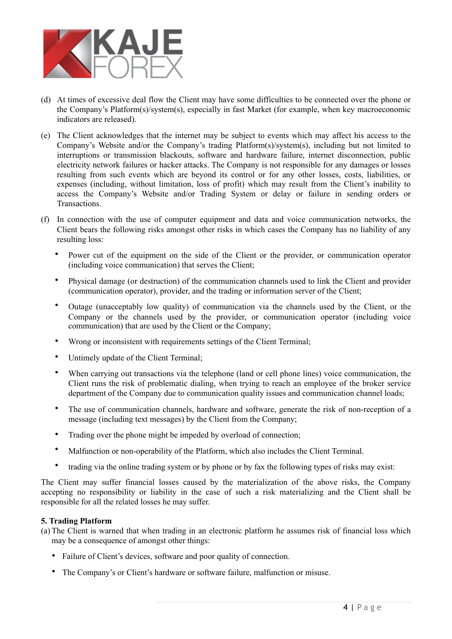

- (d) At times of excessive deal flow the Client may have some difficulties to be connected over the phone or the Company's Platform(s)/system(s), especially in fast Market (for example, when key macroeconomic indicators are released).
- (e) The Client acknowledges that the internet may be subject to events which may affect his access to the Company's Website and/or the Company's trading Platform(s)/system(s), including but not limited to interruptions or transmission blackouts, software and hardware failure, internet disconnection, public electricity network failures or hacker attacks. The Company is not responsible for any damages or losses resulting from such events which are beyond its control or for any other losses, costs, liabilities, or expenses (including, without limitation, loss of profit) which may result from the Client's inability to access the Company's Website and/or Trading System or delay or failure in sending orders or Transactions.
- (f) In connection with the use of computer equipment and data and voice communication networks, the Client bears the following risks amongst other risks in which cases the Company has no liability of any resulting loss:
	- Power cut of the equipment on the side of the Client or the provider, or communication operator (including voice communication) that serves the Client;
	- Physical damage (or destruction) of the communication channels used to link the Client and provider (communication operator), provider, and the trading or information server of the Client;
	- Outage (unacceptably low quality) of communication via the channels used by the Client, or the Company or the channels used by the provider, or communication operator (including voice communication) that are used by the Client or the Company;
	- Wrong or inconsistent with requirements settings of the Client Terminal;
	- Untimely update of the Client Terminal;
	- When carrying out transactions via the telephone (land or cell phone lines) voice communication, the Client runs the risk of problematic dialing, when trying to reach an employee of the broker service department of the Company due to communication quality issues and communication channel loads;
	- The use of communication channels, hardware and software, generate the risk of non-reception of a message (including text messages) by the Client from the Company;
	- Trading over the phone might be impeded by overload of connection;
	- Malfunction or non-operability of the Platform, which also includes the Client Terminal.
	- trading via the online trading system or by phone or by fax the following types of risks may exist:

The Client may suffer financial losses caused by the materialization of the above risks, the Company accepting no responsibility or liability in the case of such a risk materializing and the Client shall be responsible for all the related losses he may suffer.

#### <span id="page-3-0"></span>**5. Trading Platform**

- (a) The Client is warned that when trading in an electronic platform he assumes risk of financial loss which may be a consequence of amongst other things:
	- Failure of Client's devices, software and poor quality of connection.
	- The Company's or Client's hardware or software failure, malfunction or misuse.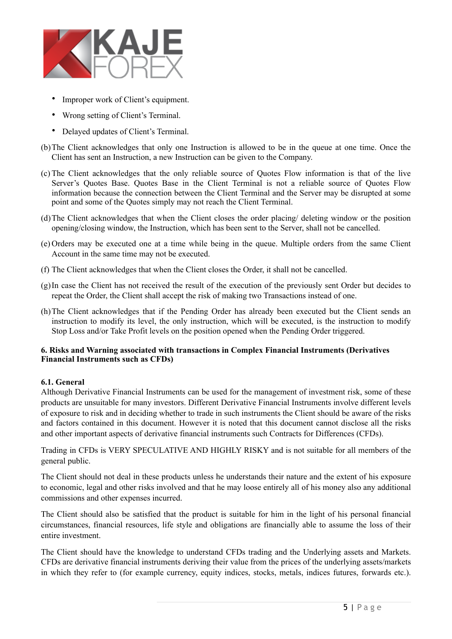

- Improper work of Client's equipment.
- Wrong setting of Client's Terminal.
- Delayed updates of Client's Terminal.
- (b)The Client acknowledges that only one Instruction is allowed to be in the queue at one time. Once the Client has sent an Instruction, a new Instruction can be given to the Company.
- (c) The Client acknowledges that the only reliable source of Quotes Flow information is that of the live Server's Quotes Base. Quotes Base in the Client Terminal is not a reliable source of Quotes Flow information because the connection between the Client Terminal and the Server may be disrupted at some point and some of the Quotes simply may not reach the Client Terminal.
- (d)The Client acknowledges that when the Client closes the order placing/ deleting window or the position opening/closing window, the Instruction, which has been sent to the Server, shall not be cancelled.
- (e) Orders may be executed one at a time while being in the queue. Multiple orders from the same Client Account in the same time may not be executed.
- (f) The Client acknowledges that when the Client closes the Order, it shall not be cancelled.
- (g)In case the Client has not received the result of the execution of the previously sent Order but decides to repeat the Order, the Client shall accept the risk of making two Transactions instead of one.
- (h)The Client acknowledges that if the Pending Order has already been executed but the Client sends an instruction to modify its level, the only instruction, which will be executed, is the instruction to modify Stop Loss and/or Take Profit levels on the position opened when the Pending Order triggered.

# <span id="page-4-0"></span>**6. Risks and Warning associated with transactions in Complex Financial Instruments (Derivatives Financial Instruments such as CFDs)**

# <span id="page-4-1"></span>**6.1. General**

Although Derivative Financial Instruments can be used for the management of investment risk, some of these products are unsuitable for many investors. Different Derivative Financial Instruments involve different levels of exposure to risk and in deciding whether to trade in such instruments the Client should be aware of the risks and factors contained in this document. However it is noted that this document cannot disclose all the risks and other important aspects of derivative financial instruments such Contracts for Differences (CFDs).

Trading in CFDs is VERY SPECULATIVE AND HIGHLY RISKY and is not suitable for all members of the general public.

The Client should not deal in these products unless he understands their nature and the extent of his exposure to economic, legal and other risks involved and that he may loose entirely all of his money also any additional commissions and other expenses incurred.

The Client should also be satisfied that the product is suitable for him in the light of his personal financial circumstances, financial resources, life style and obligations are financially able to assume the loss of their entire investment.

The Client should have the knowledge to understand CFDs trading and the Underlying assets and Markets. CFDs are derivative financial instruments deriving their value from the prices of the underlying assets/markets in which they refer to (for example currency, equity indices, stocks, metals, indices futures, forwards etc.).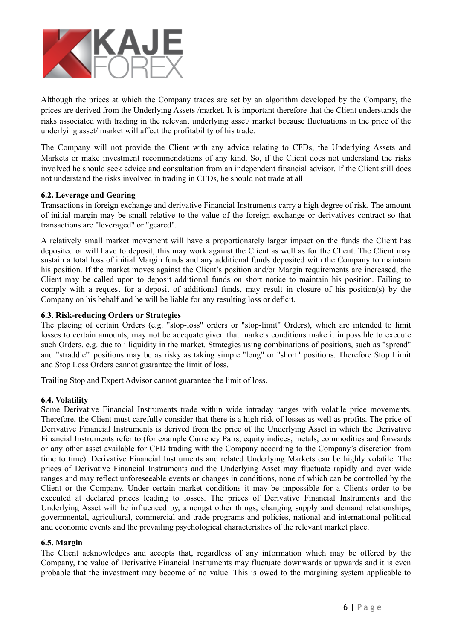

Although the prices at which the Company trades are set by an algorithm developed by the Company, the prices are derived from the Underlying Assets /market. It is important therefore that the Client understands the risks associated with trading in the relevant underlying asset/ market because fluctuations in the price of the underlying asset/ market will affect the profitability of his trade.

The Company will not provide the Client with any advice relating to CFDs, the Underlying Assets and Markets or make investment recommendations of any kind. So, if the Client does not understand the risks involved he should seek advice and consultation from an independent financial advisor. If the Client still does not understand the risks involved in trading in CFDs, he should not trade at all.

# <span id="page-5-0"></span>**6.2. Leverage and Gearing**

Transactions in foreign exchange and derivative Financial Instruments carry a high degree of risk. The amount of initial margin may be small relative to the value of the foreign exchange or derivatives contract so that transactions are "leveraged" or "geared".

A relatively small market movement will have a proportionately larger impact on the funds the Client has deposited or will have to deposit; this may work against the Client as well as for the Client. The Client may sustain a total loss of initial Margin funds and any additional funds deposited with the Company to maintain his position. If the market moves against the Client's position and/or Margin requirements are increased, the Client may be called upon to deposit additional funds on short notice to maintain his position. Failing to comply with a request for a deposit of additional funds, may result in closure of his position(s) by the Company on his behalf and he will be liable for any resulting loss or deficit.

# <span id="page-5-1"></span>**6.3. Risk-reducing Orders or Strategies**

The placing of certain Orders (e.g. "stop-loss" orders or "stop-limit" Orders), which are intended to limit losses to certain amounts, may not be adequate given that markets conditions make it impossible to execute such Orders, e.g. due to illiquidity in the market. Strategies using combinations of positions, such as "spread" and "straddle"' positions may be as risky as taking simple "long" or "short" positions. Therefore Stop Limit and Stop Loss Orders cannot guarantee the limit of loss.

Trailing Stop and Expert Advisor cannot guarantee the limit of loss.

#### <span id="page-5-2"></span>**6.4. Volatility**

Some Derivative Financial Instruments trade within wide intraday ranges with volatile price movements. Therefore, the Client must carefully consider that there is a high risk of losses as well as profits. The price of Derivative Financial Instruments is derived from the price of the Underlying Asset in which the Derivative Financial Instruments refer to (for example Currency Pairs, equity indices, metals, commodities and forwards or any other asset available for CFD trading with the Company according to the Company's discretion from time to time). Derivative Financial Instruments and related Underlying Markets can be highly volatile. The prices of Derivative Financial Instruments and the Underlying Asset may fluctuate rapidly and over wide ranges and may reflect unforeseeable events or changes in conditions, none of which can be controlled by the Client or the Company. Under certain market conditions it may be impossible for a Clients order to be executed at declared prices leading to losses. The prices of Derivative Financial Instruments and the Underlying Asset will be influenced by, amongst other things, changing supply and demand relationships, governmental, agricultural, commercial and trade programs and policies, national and international political and economic events and the prevailing psychological characteristics of the relevant market place.

#### <span id="page-5-3"></span>**6.5. Margin**

The Client acknowledges and accepts that, regardless of any information which may be offered by the Company, the value of Derivative Financial Instruments may fluctuate downwards or upwards and it is even probable that the investment may become of no value. This is owed to the margining system applicable to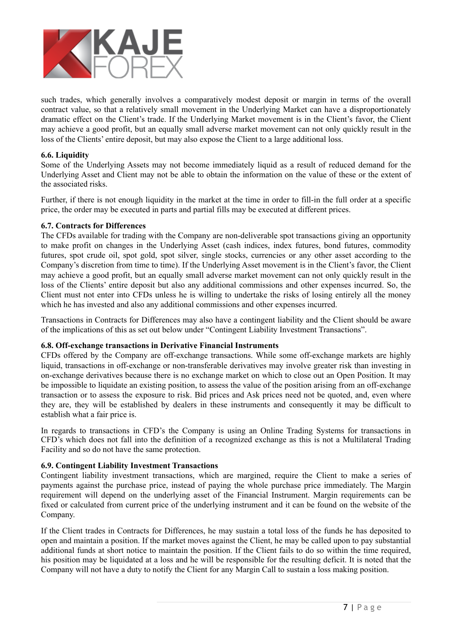

such trades, which generally involves a comparatively modest deposit or margin in terms of the overall contract value, so that a relatively small movement in the Underlying Market can have a disproportionately dramatic effect on the Client's trade. If the Underlying Market movement is in the Client's favor, the Client may achieve a good profit, but an equally small adverse market movement can not only quickly result in the loss of the Clients' entire deposit, but may also expose the Client to a large additional loss.

# <span id="page-6-0"></span>**6.6. Liquidity**

Some of the Underlying Assets may not become immediately liquid as a result of reduced demand for the Underlying Asset and Client may not be able to obtain the information on the value of these or the extent of the associated risks.

Further, if there is not enough liquidity in the market at the time in order to fill-in the full order at a specific price, the order may be executed in parts and partial fills may be executed at different prices.

# <span id="page-6-1"></span>**6.7. Contracts for Differences**

The CFDs available for trading with the Company are non-deliverable spot transactions giving an opportunity to make profit on changes in the Underlying Asset (cash indices, index futures, bond futures, commodity futures, spot crude oil, spot gold, spot silver, single stocks, currencies or any other asset according to the Company's discretion from time to time). If the Underlying Asset movement is in the Client's favor, the Client may achieve a good profit, but an equally small adverse market movement can not only quickly result in the loss of the Clients' entire deposit but also any additional commissions and other expenses incurred. So, the Client must not enter into CFDs unless he is willing to undertake the risks of losing entirely all the money which he has invested and also any additional commissions and other expenses incurred.

Transactions in Contracts for Differences may also have a contingent liability and the Client should be aware of the implications of this as set out below under "Contingent Liability Investment Transactions".

#### <span id="page-6-2"></span>**6.8. Off-exchange transactions in Derivative Financial Instruments**

CFDs offered by the Company are off-exchange transactions. While some off-exchange markets are highly liquid, transactions in off-exchange or non-transferable derivatives may involve greater risk than investing in on-exchange derivatives because there is no exchange market on which to close out an Open Position. It may be impossible to liquidate an existing position, to assess the value of the position arising from an off-exchange transaction or to assess the exposure to risk. Bid prices and Ask prices need not be quoted, and, even where they are, they will be established by dealers in these instruments and consequently it may be difficult to establish what a fair price is.

In regards to transactions in CFD's the Company is using an Online Trading Systems for transactions in CFD's which does not fall into the definition of a recognized exchange as this is not a Multilateral Trading Facility and so do not have the same protection.

# <span id="page-6-3"></span>**6.9. Contingent Liability Investment Transactions**

Contingent liability investment transactions, which are margined, require the Client to make a series of payments against the purchase price, instead of paying the whole purchase price immediately. The Margin requirement will depend on the underlying asset of the Financial Instrument. Margin requirements can be fixed or calculated from current price of the underlying instrument and it can be found on the website of the Company.

If the Client trades in Contracts for Differences, he may sustain a total loss of the funds he has deposited to open and maintain a position. If the market moves against the Client, he may be called upon to pay substantial additional funds at short notice to maintain the position. If the Client fails to do so within the time required, his position may be liquidated at a loss and he will be responsible for the resulting deficit. It is noted that the Company will not have a duty to notify the Client for any Margin Call to sustain a loss making position.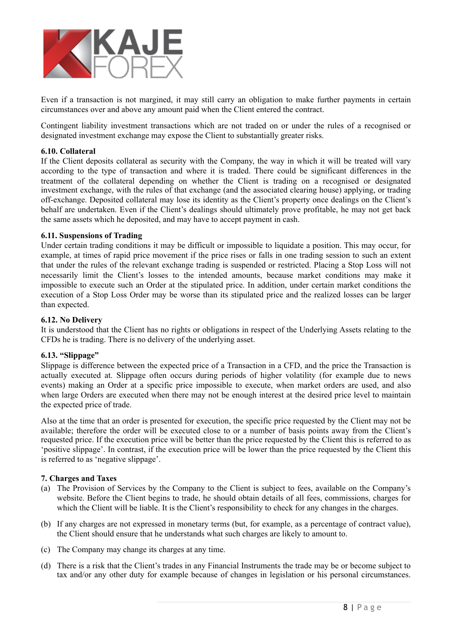

Even if a transaction is not margined, it may still carry an obligation to make further payments in certain circumstances over and above any amount paid when the Client entered the contract.

Contingent liability investment transactions which are not traded on or under the rules of a recognised or designated investment exchange may expose the Client to substantially greater risks.

### <span id="page-7-0"></span>**6.10. Collateral**

If the Client deposits collateral as security with the Company, the way in which it will be treated will vary according to the type of transaction and where it is traded. There could be significant differences in the treatment of the collateral depending on whether the Client is trading on a recognised or designated investment exchange, with the rules of that exchange (and the associated clearing house) applying, or trading off-exchange. Deposited collateral may lose its identity as the Client's property once dealings on the Client's behalf are undertaken. Even if the Client's dealings should ultimately prove profitable, he may not get back the same assets which he deposited, and may have to accept payment in cash.

#### <span id="page-7-1"></span>**6.11. Suspensions of Trading**

Under certain trading conditions it may be difficult or impossible to liquidate a position. This may occur, for example, at times of rapid price movement if the price rises or falls in one trading session to such an extent that under the rules of the relevant exchange trading is suspended or restricted. Placing a Stop Loss will not necessarily limit the Client's losses to the intended amounts, because market conditions may make it impossible to execute such an Order at the stipulated price. In addition, under certain market conditions the execution of a Stop Loss Order may be worse than its stipulated price and the realized losses can be larger than expected.

#### <span id="page-7-2"></span>**6.12. No Delivery**

It is understood that the Client has no rights or obligations in respect of the Underlying Assets relating to the CFDs he is trading. There is no delivery of the underlying asset.

#### <span id="page-7-3"></span>**6.13. "Slippage"**

Slippage is difference between the expected price of a Transaction in a CFD, and the price the Transaction is actually executed at. Slippage often occurs during periods of higher volatility (for example due to news events) making an Order at a specific price impossible to execute, when market orders are used, and also when large Orders are executed when there may not be enough interest at the desired price level to maintain the expected price of trade.

Also at the time that an order is presented for execution, the specific price requested by the Client may not be available; therefore the order will be executed close to or a number of basis points away from the Client's requested price. If the execution price will be better than the price requested by the Client this is referred to as 'positive slippage'. In contrast, if the execution price will be lower than the price requested by the Client this is referred to as 'negative slippage'.

#### <span id="page-7-4"></span>**7. Charges and Taxes**

- (a) The Provision of Services by the Company to the Client is subject to fees, available on the Company's website. Before the Client begins to trade, he should obtain details of all fees, commissions, charges for which the Client will be liable. It is the Client's responsibility to check for any changes in the charges.
- (b) If any charges are not expressed in monetary terms (but, for example, as a percentage of contract value), the Client should ensure that he understands what such charges are likely to amount to.
- (c) The Company may change its charges at any time.
- (d) There is a risk that the Client's trades in any Financial Instruments the trade may be or become subject to tax and/or any other duty for example because of changes in legislation or his personal circumstances.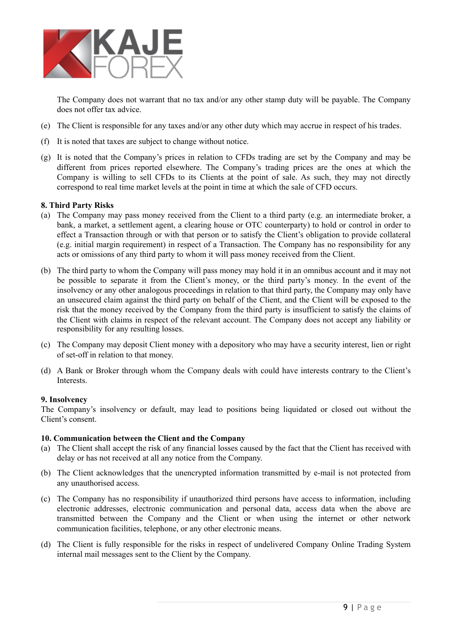

The Company does not warrant that no tax and/or any other stamp duty will be payable. The Company does not offer tax advice.

- (e) The Client is responsible for any taxes and/or any other duty which may accrue in respect of his trades.
- (f) It is noted that taxes are subject to change without notice.
- (g) It is noted that the Company's prices in relation to CFDs trading are set by the Company and may be different from prices reported elsewhere. The Company's trading prices are the ones at which the Company is willing to sell CFDs to its Clients at the point of sale. As such, they may not directly correspond to real time market levels at the point in time at which the sale of CFD occurs.

### <span id="page-8-0"></span>**8. Third Party Risks**

- (a) The Company may pass money received from the Client to a third party (e.g. an intermediate broker, a bank, a market, a settlement agent, a clearing house or OTC counterparty) to hold or control in order to effect a Transaction through or with that person or to satisfy the Client's obligation to provide collateral (e.g. initial margin requirement) in respect of a Transaction. The Company has no responsibility for any acts or omissions of any third party to whom it will pass money received from the Client.
- (b) The third party to whom the Company will pass money may hold it in an omnibus account and it may not be possible to separate it from the Client's money, or the third party's money. In the event of the insolvency or any other analogous proceedings in relation to that third party, the Company may only have an unsecured claim against the third party on behalf of the Client, and the Client will be exposed to the risk that the money received by the Company from the third party is insufficient to satisfy the claims of the Client with claims in respect of the relevant account. The Company does not accept any liability or responsibility for any resulting losses.
- (c) The Company may deposit Client money with a depository who may have a security interest, lien or right of set-off in relation to that money.
- (d) A Bank or Broker through whom the Company deals with could have interests contrary to the Client's Interests.

#### <span id="page-8-1"></span>**9. Insolvency**

The Company's insolvency or default, may lead to positions being liquidated or closed out without the Client's consent.

#### <span id="page-8-2"></span>**10. Communication between the Client and the Company**

- (a) The Client shall accept the risk of any financial losses caused by the fact that the Client has received with delay or has not received at all any notice from the Company.
- (b) The Client acknowledges that the unencrypted information transmitted by e-mail is not protected from any unauthorised access.
- (c) The Company has no responsibility if unauthorized third persons have access to information, including electronic addresses, electronic communication and personal data, access data when the above are transmitted between the Company and the Client or when using the internet or other network communication facilities, telephone, or any other electronic means.
- (d) The Client is fully responsible for the risks in respect of undelivered Company Online Trading System internal mail messages sent to the Client by the Company.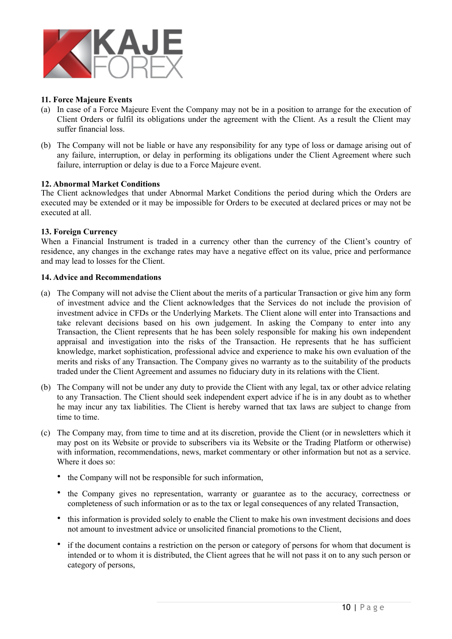

# <span id="page-9-0"></span>**11. Force Majeure Events**

- (a) In case of a Force Majeure Event the Company may not be in a position to arrange for the execution of Client Orders or fulfil its obligations under the agreement with the Client. As a result the Client may suffer financial loss.
- (b) The Company will not be liable or have any responsibility for any type of loss or damage arising out of any failure, interruption, or delay in performing its obligations under the Client Agreement where such failure, interruption or delay is due to a Force Majeure event.

# <span id="page-9-1"></span>**12. Abnormal Market Conditions**

The Client acknowledges that under Abnormal Market Conditions the period during which the Orders are executed may be extended or it may be impossible for Orders to be executed at declared prices or may not be executed at all.

#### <span id="page-9-2"></span>**13. Foreign Currency**

When a Financial Instrument is traded in a currency other than the currency of the Client's country of residence, any changes in the exchange rates may have a negative effect on its value, price and performance and may lead to losses for the Client.

#### **14. Advice and Recommendations**

- (a) The Company will not advise the Client about the merits of a particular Transaction or give him any form of investment advice and the Client acknowledges that the Services do not include the provision of investment advice in CFDs or the Underlying Markets. The Client alone will enter into Transactions and take relevant decisions based on his own judgement. In asking the Company to enter into any Transaction, the Client represents that he has been solely responsible for making his own independent appraisal and investigation into the risks of the Transaction. He represents that he has sufficient knowledge, market sophistication, professional advice and experience to make his own evaluation of the merits and risks of any Transaction. The Company gives no warranty as to the suitability of the products traded under the Client Agreement and assumes no fiduciary duty in its relations with the Client.
- (b) The Company will not be under any duty to provide the Client with any legal, tax or other advice relating to any Transaction. The Client should seek independent expert advice if he is in any doubt as to whether he may incur any tax liabilities. The Client is hereby warned that tax laws are subject to change from time to time.
- (c) The Company may, from time to time and at its discretion, provide the Client (or in newsletters which it may post on its Website or provide to subscribers via its Website or the Trading Platform or otherwise) with information, recommendations, news, market commentary or other information but not as a service. Where it does so:
	- the Company will not be responsible for such information.
	- the Company gives no representation, warranty or guarantee as to the accuracy, correctness or completeness of such information or as to the tax or legal consequences of any related Transaction,
	- this information is provided solely to enable the Client to make his own investment decisions and does not amount to investment advice or unsolicited financial promotions to the Client,
	- if the document contains a restriction on the person or category of persons for whom that document is intended or to whom it is distributed, the Client agrees that he will not pass it on to any such person or category of persons,